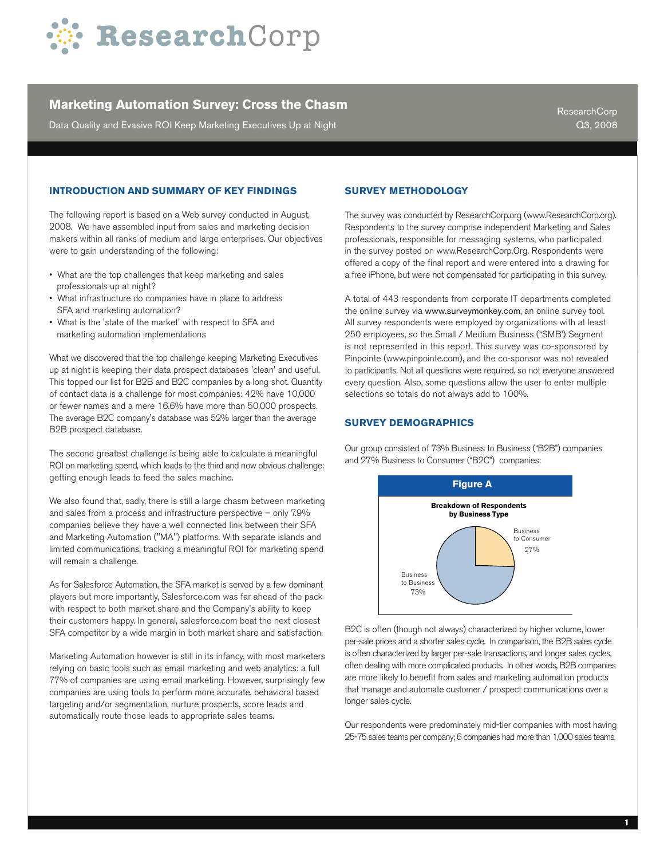

Data Quality and Evasive ROI Keep Marketing Executives Up at Night

ResearchCorp Q3, 2008

## **INTRODUCTION AND SUMMARY OF KEY FINDINGS**

The following report is based on a Web survey conducted in August, 2008. We have assembled input from sales and marketing decision makers within all ranks of medium and large enterprises. Our objectives were to gain understanding of the following:

- What are the top challenges that keep marketing and sales professionals up at night?
- What infrastructure do companies have in place to address SFA and marketing automation?
- What is the 'state of the market' with respect to SFA and marketing automation implementations

What we discovered that the top challenge keeping Marketing Executives up at night is keeping their data prospect databases 'clean' and useful. This topped our list for B2B and B2C companies by a long shot. Quantity of contact data is a challenge for most companies: 42% have 10,000 or fewer names and a mere 16.6% have more than 50,000 prospects. The average B2C company's database was 52% larger than the average B2B prospect database.

The second greatest challenge is being able to calculate a meaningful ROI on marketing spend, which leads to the third and now obvious challenge: getting enough leads to feed the sales machine.

We also found that, sadly, there is still a large chasm between marketing and sales from a process and infrastructure perspective – only 7.9% companies believe they have a well connected link between their SFA and Marketing Automation ("MA") platforms. With separate islands and limited communications, tracking a meaningful ROI for marketing spend will remain a challenge.

As for Salesforce Automation, the SFA market is served by a few dominant players but more importantly, Salesforce.com was far ahead of the pack with respect to both market share and the Company's ability to keep their customers happy. In general, salesforce.com beat the next closest SFA competitor by a wide margin in both market share and satisfaction.

Marketing Automation however is still in its infancy, with most marketers relying on basic tools such as email marketing and web analytics: a full 77% of companies are using email marketing. However, surprisingly few companies are using tools to perform more accurate, behavioral based targeting and/or segmentation, nurture prospects, score leads and automatically route those leads to appropriate sales teams.

#### **SURVEY METHODOLOGY**

The survey was conducted by ResearchCorp.org (www.ResearchCorp.org). Respondents to the survey comprise independent Marketing and Sales professionals, responsible for messaging systems, who participated in the survey posted on www.ResearchCorp.Org. Respondents were offered a copy of the final report and were entered into a drawing for a free iPhone, but were not compensated for participating in this survey.

A total of 443 respondents from corporate IT departments completed the online survey via www.surveymonkey.com, an online survey tool. All survey respondents were employed by organizations with at least 250 employees, so the Small / Medium Business ("SMB') Segment is not represented in this report. This survey was co-sponsored by Pinpointe [\(www.pinpointe.com](http://www.pinpointe.com)), and the co-sponsor was not revealed to participants. Not all questions were required, so not everyone answered every question. Also, some questions allow the user to enter multiple selections so totals do not always add to 100%.

#### **Survey Demographics**

Our group consisted of 73% Business to Business ("B2B") companies and 27% Business to Consumer ("B2C") companies:



B2C is often (though not always) characterized by higher volume, lower per-sale prices and a shorter sales cycle. In comparison, the B2B sales cycle is often characterized by larger per-sale transactions, and longer sales cycles, often dealing with more complicated products. In other words, B2B companies are more likely to benefit from sales and marketing automation products that manage and automate customer / prospect communications over a longer sales cycle.

Our respondents were predominately mid-tier companies with most having 25-75 sales teams per company; 6 companies had more than 1,000 sales teams.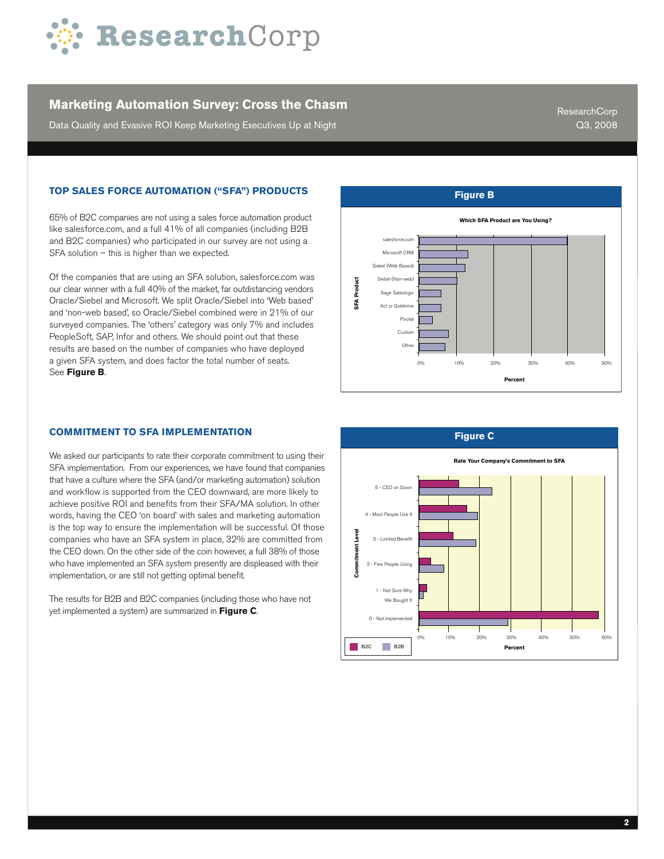

Data Quality and Evasive ROI Keep Marketing Executives Up at Night

ResearchCorp Q3, 2008

## **Top Sales Force Automation ("SFA") Products**

65% of B2C companies are not using a sales force automation product like salesforce.com, and a full 41% of all companies (including B2B and B2C companies) who participated in our survey are not using a SFA solution – this is higher than we expected.

Of the companies that are using an SFA solution, salesforce.com was our clear winner with a full 40% of the market, far outdistancing vendors Oracle/Siebel and Microsoft. We split Oracle/Siebel into 'Web based' and 'non-web based', so Oracle/Siebel combined were in 21% of our surveyed companies. The 'others' category was only 7% and includes PeopleSoft, SAP, Infor and others. We should point out that these results are based on the number of companies who have deployed a given SFA system, and does factor the total number of seats. See **Figure B**.



We asked our participants to rate their corporate commitment to using their SFA implementation. From our experiences, we have found that companies that have a culture where the SFA (and/or marketing automation) solution and workflow is supported from the CEO downward, are more likely to achieve positive ROI and benefits from their SFA/MA solution. In other words, having the CEO 'on board' with sales and marketing automation is the top way to ensure the implementation will be successful. Of those companies who have an SFA system in place, 32% are committed from the CEO down. On the other side of the coin however, a full 38% of those who have implemented an SFA system presently are displeased with their implementation, or are still not getting optimal benefit.

The results for B2B and B2C companies (including those who have not yet implemented a system) are summarized in **Figure C**.



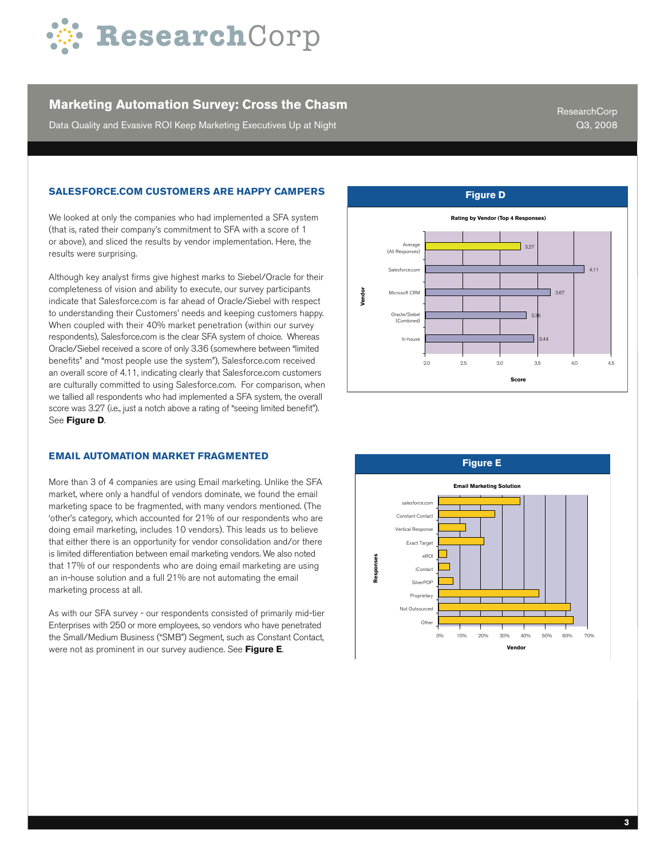

Data Quality and Evasive ROI Keep Marketing Executives Up at Night

ResearchCorp Q3, 2008

## **Salesforce.com Customers are Happy Campers**

We looked at only the companies who had implemented a SFA system (that is, rated their company's commitment to SFA with a score of 1 or above), and sliced the results by vendor implementation. Here, the results were surprising.

Although key analyst firms give highest marks to Siebel/Oracle for their completeness of vision and ability to execute, our survey participants indicate that Salesforce.com is far ahead of Oracle/Siebel with respect to understanding their Customers' needs and keeping customers happy. When coupled with their 40% market penetration (within our survey respondents), Salesforce.com is the clear SFA system of choice. Whereas Oracle/Siebel received a score of only 3.36 (somewhere between "limited benefits" and "most people use the system"), Salesforce.com received an overall score of 4.11, indicating clearly that Salesforce.com customers are culturally committed to using Salesforce.com. For comparison, when we tallied all respondents who had implemented a SFA system, the overall score was 3.27 (i.e., just a notch above a rating of "seeing limited benefit"). See **Figure D**.

#### **Email Automation Market Fragmented**

More than 3 of 4 companies are using Email marketing. Unlike the SFA market, where only a handful of vendors dominate, we found the email marketing space to be fragmented, with many vendors mentioned. (The 'other's category, which accounted for 21% of our respondents who are doing email marketing, includes 10 vendors). This leads us to believe that either there is an opportunity for vendor consolidation and/or there is limited differentiation between email marketing vendors. We also noted that 17% of our respondents who are doing email marketing are using an in-house solution and a full 21% are not automating the email marketing process at all.

As with our SFA survey - our respondents consisted of primarily mid-tier Enterprises with 250 or more employees, so vendors who have penetrated the Small/Medium Business ("SMB") Segment, such as Constant Contact, were not as prominent in our survey audience. See **Figure E**.



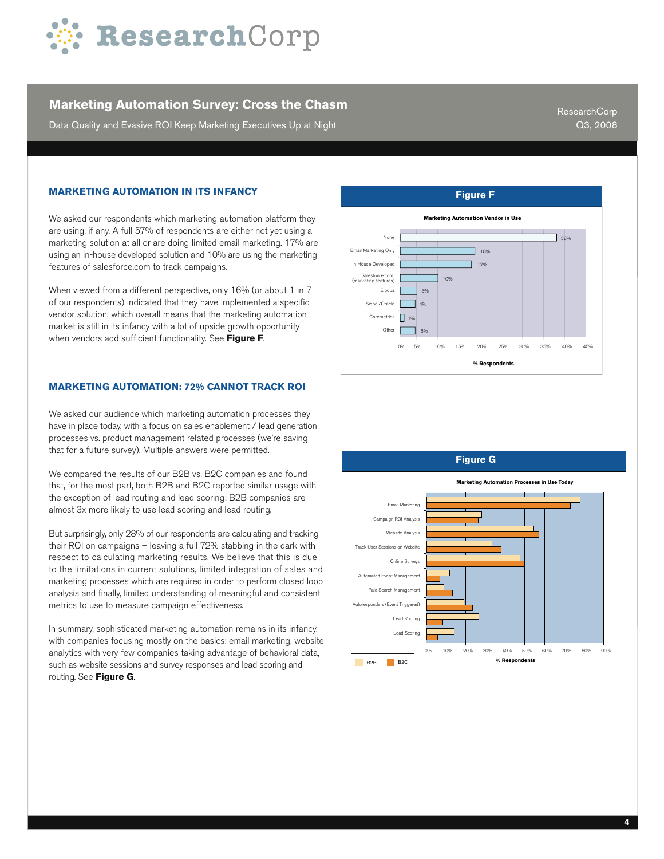

Data Quality and Evasive ROI Keep Marketing Executives Up at Night

ResearchCorp Q3, 2008

#### **Marketing Automation in its Infancy**

We asked our respondents which marketing automation platform they are using, if any. A full 57% of respondents are either not yet using a marketing solution at all or are doing limited email marketing. 17% are using an in-house developed solution and 10% are using the marketing features of salesforce.com to track campaigns.

When viewed from a different perspective, only 16% (or about 1 in 7 of our respondents) indicated that they have implemented a specific vendor solution, which overall means that the marketing automation market is still in its infancy with a lot of upside growth opportunity when vendors add sufficient functionality. See **Figure F**.

#### **Marketing Automation: 72% Cannot Track ROI**

We asked our audience which marketing automation processes they have in place today, with a focus on sales enablement / lead generation processes vs. product management related processes (we're saving that for a future survey). Multiple answers were permitted.

We compared the results of our B2B vs. B2C companies and found that, for the most part, both B2B and B2C reported similar usage with the exception of lead routing and lead scoring: B2B companies are almost 3x more likely to use lead scoring and lead routing.

But surprisingly, only 28% of our respondents are calculating and tracking their ROI on campaigns – leaving a full 72% stabbing in the dark with respect to calculating marketing results. We believe that this is due to the limitations in current solutions, limited integration of sales and marketing processes which are required in order to perform closed loop analysis and finally, limited understanding of meaningful and consistent metrics to use to measure campaign effectiveness.

In summary, sophisticated marketing automation remains in its infancy, with companies focusing mostly on the basics: email marketing, website analytics with very few companies taking advantage of behavioral data, such as website sessions and survey responses and lead scoring and routing. See **Figure G**.



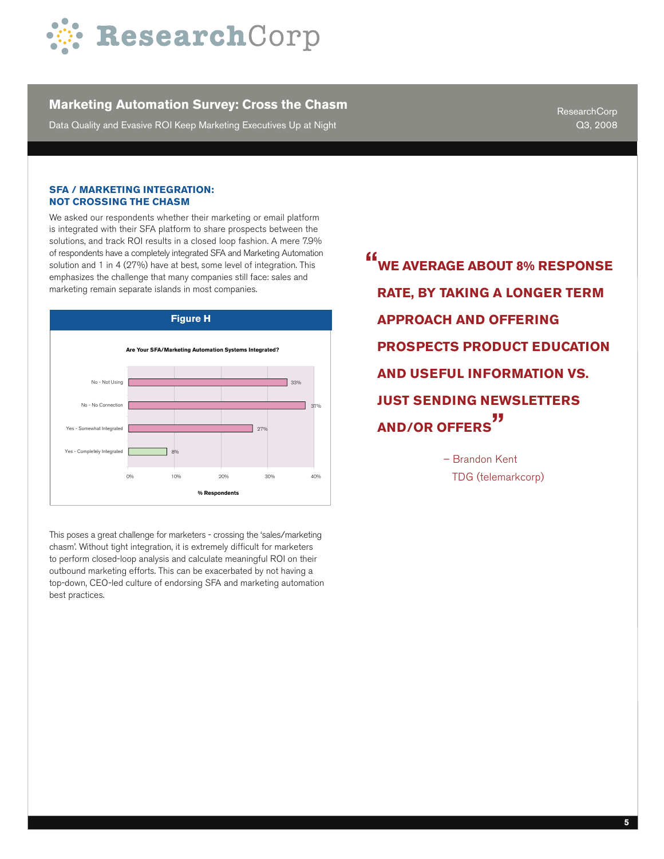

Data Quality and Evasive ROI Keep Marketing Executives Up at Night

ResearchCorp Q3, 2008

#### **SFA / Marketing Integration: Not Crossing the Chasm**

We asked our respondents whether their marketing or email platform is integrated with their SFA platform to share prospects between the solutions, and track ROI results in a closed loop fashion. A mere 7.9% of respondents have a completely integrated SFA and Marketing Automation solution and 1 in 4 (27%) have at best, some level of integration. This emphasizes the challenge that many companies still face: sales and marketing remain separate islands in most companies.



This poses a great challenge for marketers - crossing the 'sales/marketing chasm'. Without tight integration, it is extremely difficult for marketers to perform closed-loop analysis and calculate meaningful ROI on their outbound marketing efforts. This can be exacerbated by not having a top-down, CEO-led culture of endorsing SFA and marketing automation best practices.

**EXECUTE: WE AVERAGE ABOUT 8% RESPONDED rate, by taking a longer term approach and offering prospects product education and useful Information vs. just sending newsletters and/or offers "**

> – Brandon Kent TDG (telemarkcorp)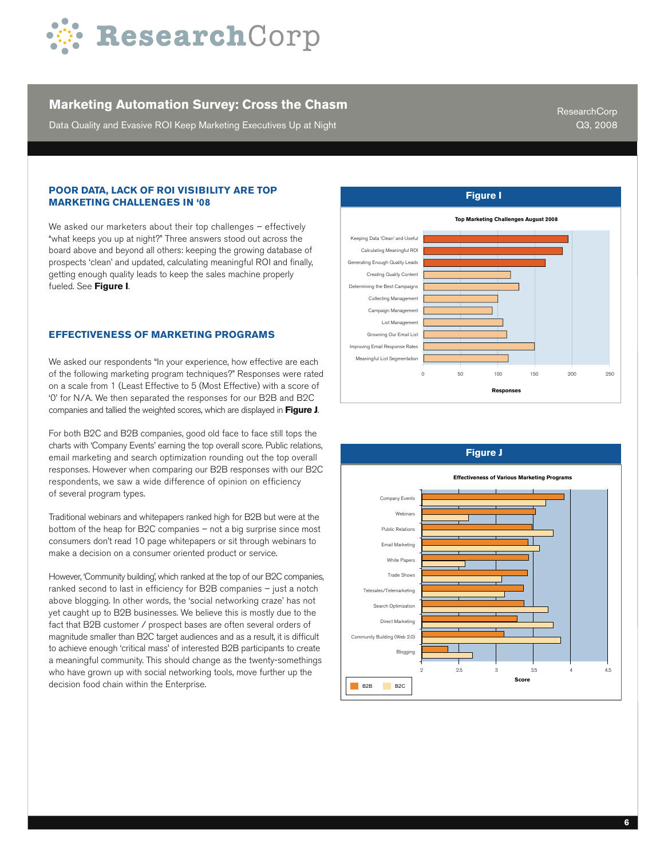

Data Quality and Evasive ROI Keep Marketing Executives Up at Night

ResearchCorp Q3, 2008

#### **Poor Data, Lack of ROI Visibility Are Top Marketing Challenges in '08**

We asked our marketers about their top challenges - effectively "what keeps you up at night?" Three answers stood out across the board above and beyond all others: keeping the growing database of prospects 'clean' and updated, calculating meaningful ROI and finally, getting enough quality leads to keep the sales machine properly fueled. See **Figure I**.

#### **Effectiveness of Marketing Programs**

We asked our respondents "In your experience, how effective are each of the following marketing program techniques?" Responses were rated on a scale from 1 (Least Effective to 5 (Most Effective) with a score of '0' for N/A. We then separated the responses for our B2B and B2C companies and tallied the weighted scores, which are displayed in **Figure J**.

For both B2C and B2B companies, good old face to face still tops the charts with 'Company Events' earning the top overall score. Public relations, email marketing and search optimization rounding out the top overall responses. However when comparing our B2B responses with our B2C respondents, we saw a wide difference of opinion on efficiency of several program types.

Traditional webinars and whitepapers ranked high for B2B but were at the bottom of the heap for B2C companies – not a big surprise since most consumers don't read 10 page whitepapers or sit through webinars to make a decision on a consumer oriented product or service.

However, 'Community building', which ranked at the top of our B2C companies, ranked second to last in efficiency for B2B companies – just a notch above blogging. In other words, the 'social networking craze' has not yet caught up to B2B businesses. We believe this is mostly due to the fact that B2B customer / prospect bases are often several orders of magnitude smaller than B2C target audiences and as a result, it is difficult to achieve enough 'critical mass' of interested B2B participants to create a meaningful community. This should change as the twenty-somethings who have grown up with social networking tools, move further up the decision food chain within the Enterprise.



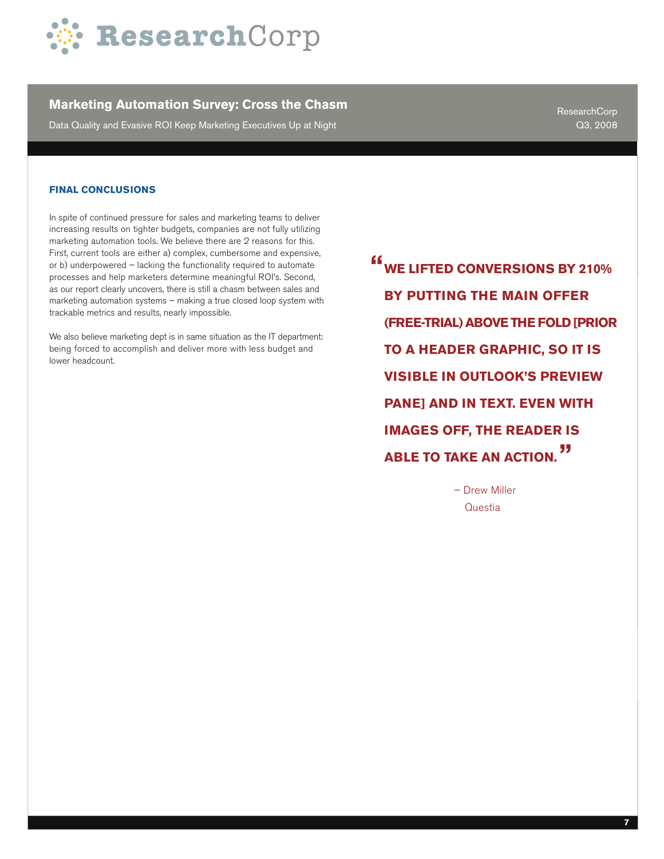

Data Quality and Evasive ROI Keep Marketing Executives Up at Night

ResearchCorp Q3, 2008

#### **Final conclusions**

In spite of continued pressure for sales and marketing teams to deliver increasing results on tighter budgets, companies are not fully utilizing marketing automation tools. We believe there are 2 reasons for this. First, current tools are either a) complex, cumbersome and expensive, or b) underpowered – lacking the functionality required to automate processes and help marketers determine meaningful ROI's. Second, as our report clearly uncovers, there is still a chasm between sales and marketing automation systems – making a true closed loop system with trackable metrics and results, nearly impossible.

We also believe marketing dept is in same situation as the IT department: being forced to accomplish and deliver more with less budget and lower headcount.

**WE LIFTED CONVERSIONS BY 210% " BY PUTTING THE MAIN OFFER (FREE-TRIAL) ABOVE THE FOLD [PRIOR TO A HEADER GRAPHIC, SO IT IS VISIBLE IN OUTLOOK'S PREVIEW PANE] AND IN TEXT. EVEN WITH IMAGES OFF, THE READER IS ABLE TO TAKE AN ACTION. "**

> – Drew Miller **Questia**